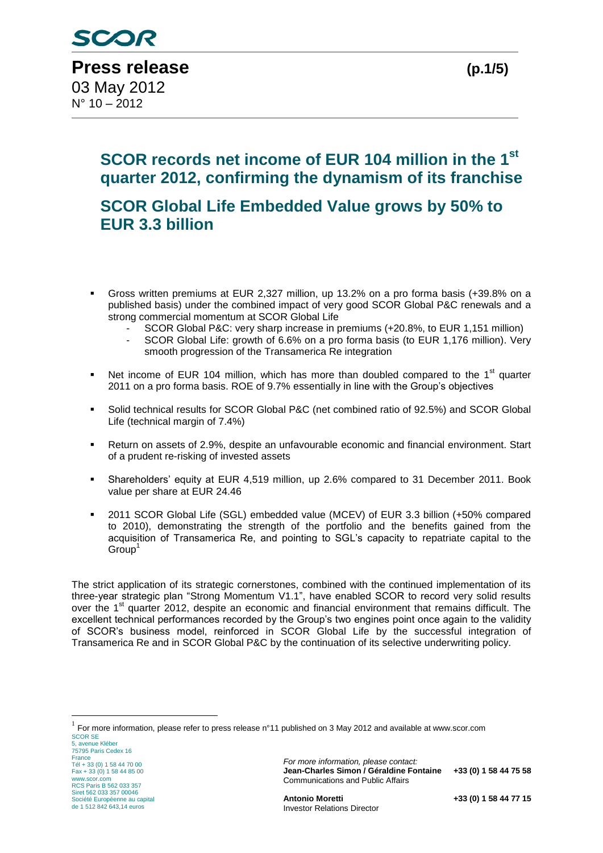N° 10 – 2012

# **SCOR records net income of EUR 104 million in the 1st quarter 2012, confirming the dynamism of its franchise**

**SCOR Global Life Embedded Value grows by 50% to EUR 3.3 billion**

- Gross written premiums at EUR 2,327 million, up 13.2% on a pro forma basis (+39.8% on a published basis) under the combined impact of very good SCOR Global P&C renewals and a strong commercial momentum at SCOR Global Life
	- SCOR Global P&C: very sharp increase in premiums (+20.8%, to EUR 1,151 million)
	- SCOR Global Life: growth of 6.6% on a pro forma basis (to EUR 1,176 million). Very smooth progression of the Transamerica Re integration
- Net income of EUR 104 million, which has more than doubled compared to the 1<sup>st</sup> quarter 2011 on a pro forma basis. ROE of 9.7% essentially in line with the Group's objectives
- Solid technical results for SCOR Global P&C (net combined ratio of 92.5%) and SCOR Global Life (technical margin of 7.4%)
- Return on assets of 2.9%, despite an unfavourable economic and financial environment. Start of a prudent re-risking of invested assets
- Shareholders' equity at EUR 4,519 million, up 2.6% compared to 31 December 2011. Book value per share at EUR 24.46
- 2011 SCOR Global Life (SGL) embedded value (MCEV) of EUR 3.3 billion (+50% compared to 2010), demonstrating the strength of the portfolio and the benefits gained from the acquisition of Transamerica Re, and pointing to SGL's capacity to repatriate capital to the  $Group<sup>1</sup>$

The strict application of its strategic cornerstones, combined with the continued implementation of its three-year strategic plan "Strong Momentum V1.1", have enabled SCOR to record very solid results over the 1<sup>st</sup> quarter 2012, despite an economic and financial environment that remains difficult. The excellent technical performances recorded by the Group's two engines point once again to the validity of SCOR's business model, reinforced in SCOR Global Life by the successful integration of Transamerica Re and in SCOR Global P&C by the continuation of its selective underwriting policy.

5, avenue Kléber 75795 Paris Cedex 16 France Tél + 33 (0) 1 58 44 70 00 Fax + 33 (0) 1 58 44 85 00 www.scor.com RCS Paris B 562 033 357 Siret 562 033 357 00046 Société Européenne au capital de 1 512 842 643,14 euros

1

*For more information, please contact:* **Jean-Charles Simon / Géraldine Fontaine +33 (0) 1 58 44 75 58** Communications and Public Affairs

SCOR SE  $^1$  For more information, please refer to press release n°11 published on 3 May 2012 and available at www.scor.com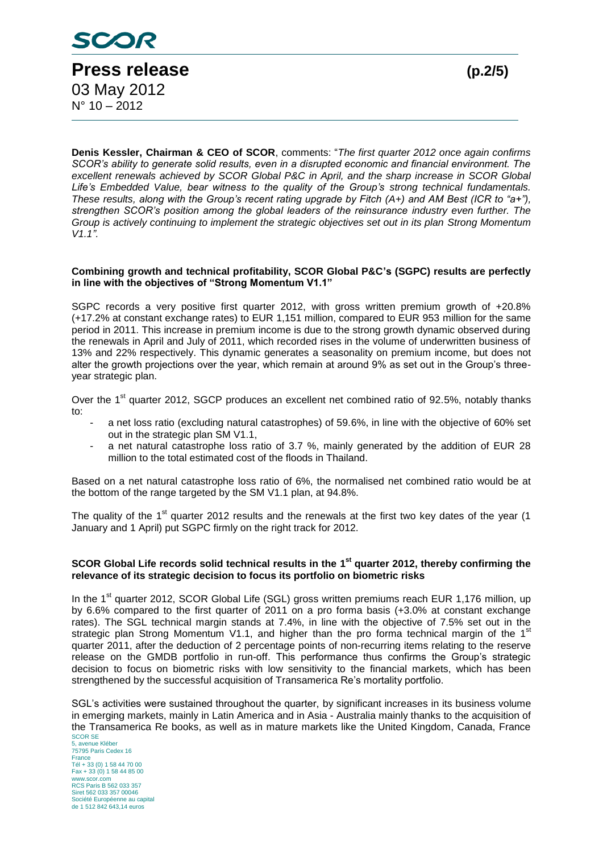

**Denis Kessler, Chairman & CEO of SCOR**, comments: "*The first quarter 2012 once again confirms SCOR's ability to generate solid results, even in a disrupted economic and financial environment. The excellent renewals achieved by SCOR Global P&C in April, and the sharp increase in SCOR Global Life's Embedded Value, bear witness to the quality of the Group's strong technical fundamentals. These results, along with the Group's recent rating upgrade by Fitch (A+) and AM Best (ICR to "a+"), strengthen SCOR's position among the global leaders of the reinsurance industry even further. The Group is actively continuing to implement the strategic objectives set out in its plan Strong Momentum V1.1".*

#### **Combining growth and technical profitability, SCOR Global P&C's (SGPC) results are perfectly in line with the objectives of "Strong Momentum V1.1"**

SGPC records a very positive first quarter 2012, with gross written premium growth of +20.8% (+17.2% at constant exchange rates) to EUR 1,151 million, compared to EUR 953 million for the same period in 2011. This increase in premium income is due to the strong growth dynamic observed during the renewals in April and July of 2011, which recorded rises in the volume of underwritten business of 13% and 22% respectively. This dynamic generates a seasonality on premium income, but does not alter the growth projections over the year, which remain at around 9% as set out in the Group's threeyear strategic plan.

Over the 1<sup>st</sup> quarter 2012, SGCP produces an excellent net combined ratio of 92.5%, notably thanks to:

- a net loss ratio (excluding natural catastrophes) of 59.6%, in line with the objective of 60% set out in the strategic plan SM V1.1,
- a net natural catastrophe loss ratio of 3.7 %, mainly generated by the addition of EUR 28 million to the total estimated cost of the floods in Thailand.

Based on a net natural catastrophe loss ratio of 6%, the normalised net combined ratio would be at the bottom of the range targeted by the SM V1.1 plan, at 94.8%.

The quality of the  $1<sup>st</sup>$  quarter 2012 results and the renewals at the first two key dates of the year (1) January and 1 April) put SGPC firmly on the right track for 2012.

#### **SCOR Global Life records solid technical results in the 1 st quarter 2012, thereby confirming the relevance of its strategic decision to focus its portfolio on biometric risks**

In the 1<sup>st</sup> quarter 2012, SCOR Global Life (SGL) gross written premiums reach EUR 1,176 million, up by 6.6% compared to the first quarter of 2011 on a pro forma basis (+3.0% at constant exchange rates). The SGL technical margin stands at 7.4%, in line with the objective of 7.5% set out in the strategic plan Strong Momentum V1.1, and higher than the pro forma technical margin of the  $1<sup>st</sup>$ quarter 2011, after the deduction of 2 percentage points of non-recurring items relating to the reserve release on the GMDB portfolio in run-off. This performance thus confirms the Group's strategic decision to focus on biometric risks with low sensitivity to the financial markets, which has been strengthened by the successful acquisition of Transamerica Re's mortality portfolio.

SGL's activities were sustained throughout the quarter, by significant increases in its business volume in emerging markets, mainly in Latin America and in Asia - Australia mainly thanks to the acquisition of the Transamerica Re books, as well as in mature markets like the United Kingdom, Canada, France

SCOR SE 5, avenue Kléber 75795 Paris Cedex 16 France Tél + 33 (0) 1 58 44 70 00 Fax + 33 (0) 1 58 44 85 00 www.scor.com RCS Paris B 562 033 357 Siret 562 033 357 00046 Société Européenne au capital de 1 512 842 643,14 euros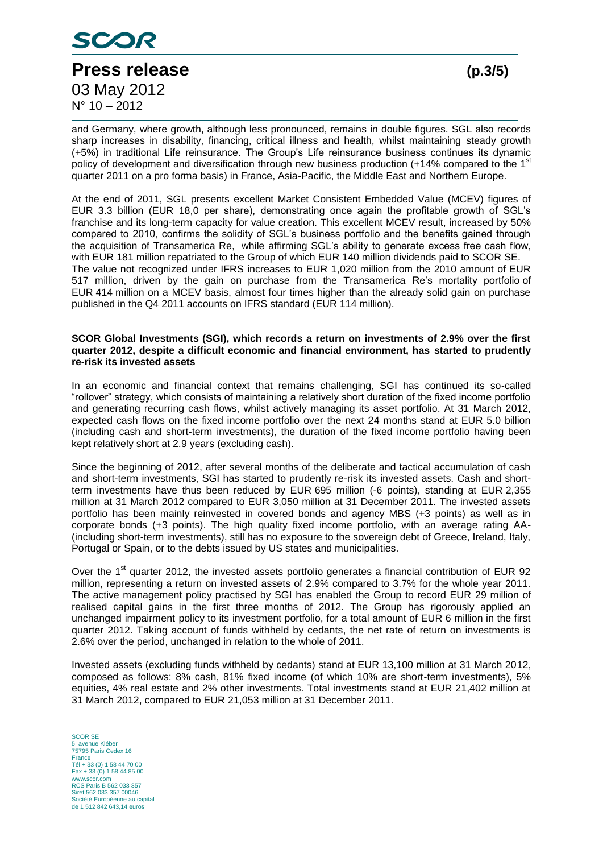

and Germany, where growth, although less pronounced, remains in double figures. SGL also records sharp increases in disability, financing, critical illness and health, whilst maintaining steady growth (+5%) in traditional Life reinsurance. The Group's Life reinsurance business continues its dynamic policy of development and diversification through new business production (+14% compared to the 1st quarter 2011 on a pro forma basis) in France, Asia-Pacific, the Middle East and Northern Europe.

At the end of 2011, SGL presents excellent Market Consistent Embedded Value (MCEV) figures of EUR 3.3 billion (EUR 18,0 per share), demonstrating once again the profitable growth of SGL's franchise and its long-term capacity for value creation. This excellent MCEV result, increased by 50% compared to 2010, confirms the solidity of SGL's business portfolio and the benefits gained through the acquisition of Transamerica Re, while affirming SGL's ability to generate excess free cash flow, with EUR 181 million repatriated to the Group of which EUR 140 million dividends paid to SCOR SE. The value not recognized under IFRS increases to EUR 1,020 million from the 2010 amount of EUR 517 million, driven by the gain on purchase from the Transamerica Re's mortality portfolio of EUR 414 million on a MCEV basis, almost four times higher than the already solid gain on purchase published in the Q4 2011 accounts on IFRS standard (EUR 114 million).

#### **SCOR Global Investments (SGI), which records a return on investments of 2.9% over the first quarter 2012, despite a difficult economic and financial environment, has started to prudently re-risk its invested assets**

In an economic and financial context that remains challenging, SGI has continued its so-called "rollover" strategy, which consists of maintaining a relatively short duration of the fixed income portfolio and generating recurring cash flows, whilst actively managing its asset portfolio. At 31 March 2012, expected cash flows on the fixed income portfolio over the next 24 months stand at EUR 5.0 billion (including cash and short-term investments), the duration of the fixed income portfolio having been kept relatively short at 2.9 years (excluding cash).

Since the beginning of 2012, after several months of the deliberate and tactical accumulation of cash and short-term investments, SGI has started to prudently re-risk its invested assets. Cash and shortterm investments have thus been reduced by EUR 695 million (-6 points), standing at EUR 2,355 million at 31 March 2012 compared to EUR 3,050 million at 31 December 2011. The invested assets portfolio has been mainly reinvested in covered bonds and agency MBS (+3 points) as well as in corporate bonds (+3 points). The high quality fixed income portfolio, with an average rating AA- (including short-term investments), still has no exposure to the sovereign debt of Greece, Ireland, Italy, Portugal or Spain, or to the debts issued by US states and municipalities.

Over the 1<sup>st</sup> quarter 2012, the invested assets portfolio generates a financial contribution of EUR 92 million, representing a return on invested assets of 2.9% compared to 3.7% for the whole year 2011. The active management policy practised by SGI has enabled the Group to record EUR 29 million of realised capital gains in the first three months of 2012. The Group has rigorously applied an unchanged impairment policy to its investment portfolio, for a total amount of EUR 6 million in the first quarter 2012. Taking account of funds withheld by cedants, the net rate of return on investments is 2.6% over the period, unchanged in relation to the whole of 2011.

Invested assets (excluding funds withheld by cedants) stand at EUR 13,100 million at 31 March 2012, composed as follows: 8% cash, 81% fixed income (of which 10% are short-term investments), 5% equities, 4% real estate and 2% other investments. Total investments stand at EUR 21,402 million at 31 March 2012, compared to EUR 21,053 million at 31 December 2011.

SCOR SE 5, avenue Kléber 75795 Paris Cedex 16 France Tél + 33 (0) 1 58 44 70 00 Fax + 33 (0) 1 58 44 85 00 www.scor.com RCS Paris B 562 033 357 Siret 562 033 357 00046 Société Européenne au capital de 1 512 842 643,14 euros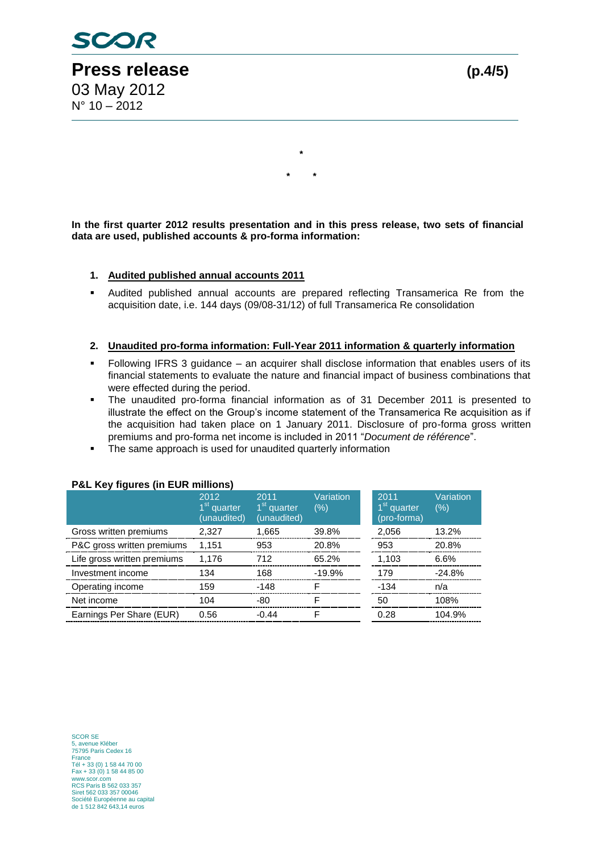

**In the first quarter 2012 results presentation and in this press release, two sets of financial data are used, published accounts & pro-forma information:**

**\***

**\* \***

### **1. Audited published annual accounts 2011**

 Audited published annual accounts are prepared reflecting Transamerica Re from the acquisition date, i.e. 144 days (09/08-31/12) of full Transamerica Re consolidation

#### **2. Unaudited pro-forma information: Full-Year 2011 information & quarterly information**

- Following IFRS 3 guidance an acquirer shall disclose information that enables users of its financial statements to evaluate the nature and financial impact of business combinations that were effected during the period.
- The unaudited pro-forma financial information as of 31 December 2011 is presented to illustrate the effect on the Group's income statement of the Transamerica Re acquisition as if the acquisition had taken place on 1 January 2011. Disclosure of pro-forma gross written premiums and pro-forma net income is included in 2011 "*Document de référence*".
- The same approach is used for unaudited quarterly information

| . ac ity rights (in continuusity |                                                |                                                |                  |                                                |                  |  |  |  |  |
|----------------------------------|------------------------------------------------|------------------------------------------------|------------------|------------------------------------------------|------------------|--|--|--|--|
|                                  | 2012<br>1 <sup>st</sup> quarter<br>(unaudited) | 2011<br>1 <sup>st</sup> quarter<br>(unaudited) | Variation<br>(%) | 2011<br>1 <sup>st</sup> quarter<br>(pro-forma) | Variation<br>(%) |  |  |  |  |
| Gross written premiums           | 2.327                                          | 1,665                                          | 39.8%            | 2,056                                          | 13.2%            |  |  |  |  |
| P&C gross written premiums       | 1,151                                          | 953                                            | 20.8%            | 953                                            | 20.8%            |  |  |  |  |
| Life gross written premiums      | 1,176                                          | 712                                            | 65.2%            | 1,103                                          | 6.6%             |  |  |  |  |
| Investment income                | 134                                            | 168                                            | $-19.9%$         | 179                                            | $-24.8%$         |  |  |  |  |
| Operating income                 | 159                                            | $-148$                                         |                  | -134                                           | n/a              |  |  |  |  |
| Net income                       | 104                                            | -80                                            |                  | 50                                             | 108%             |  |  |  |  |
| Earnings Per Share (EUR)         | 0.56                                           | $-0.44$                                        |                  | 0.28                                           | 104.9%           |  |  |  |  |

#### **P&L Key figures (in EUR millions)**

SCOR SE 5, avenue Kléber 75795 Paris Cedex 16 France Tél + 33 (0) 1 58 44 70 00 Fax + 33 (0) 1 58 44 85 00 www.scor.com RCS Paris B 562 033 357 Siret 562 033 357 00046 Société Européenne au capital de 1 512 842 643,14 euros